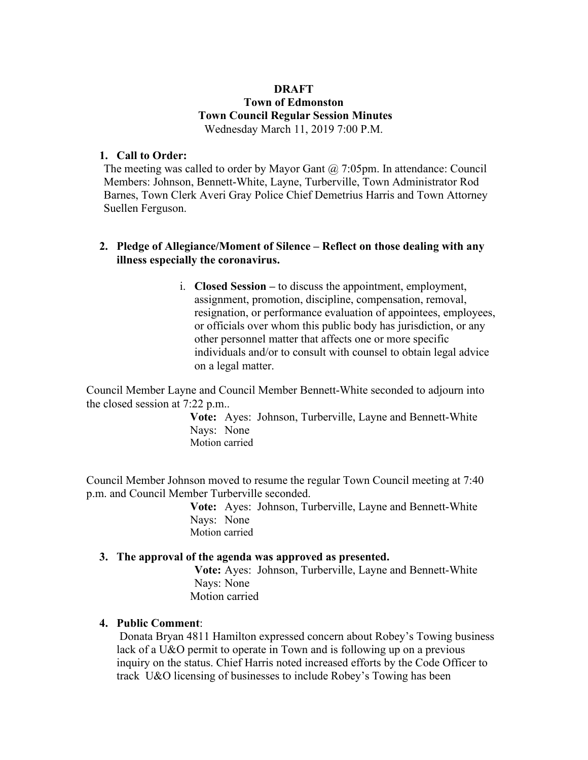### **DRAFT Town of Edmonston Town Council Regular Session Minutes** Wednesday March 11, 2019 7:00 P.M.

## **1. Call to Order:**

The meeting was called to order by Mayor Gant @ 7:05pm. In attendance: Council Members: Johnson, Bennett-White, Layne, Turberville, Town Administrator Rod Barnes, Town Clerk Averi Gray Police Chief Demetrius Harris and Town Attorney Suellen Ferguson.

### **2. Pledge of Allegiance/Moment of Silence – Reflect on those dealing with any illness especially the coronavirus.**

i. **Closed Session –** to discuss the appointment, employment, assignment, promotion, discipline, compensation, removal, resignation, or performance evaluation of appointees, employees, or officials over whom this public body has jurisdiction, or any other personnel matter that affects one or more specific individuals and/or to consult with counsel to obtain legal advice on a legal matter.

Council Member Layne and Council Member Bennett-White seconded to adjourn into the closed session at 7:22 p.m..

> **Vote:** Ayes: Johnson, Turberville, Layne and Bennett-White Nays: None Motion carried

Council Member Johnson moved to resume the regular Town Council meeting at 7:40 p.m. and Council Member Turberville seconded.

> **Vote:** Ayes: Johnson, Turberville, Layne and Bennett-White Nays: None Motion carried

### **3. The approval of the agenda was approved as presented.**

**Vote:** Ayes: Johnson, Turberville, Layne and Bennett-White Nays: None Motion carried

# **4. Public Comment**:

Donata Bryan 4811 Hamilton expressed concern about Robey's Towing business lack of a U&O permit to operate in Town and is following up on a previous inquiry on the status. Chief Harris noted increased efforts by the Code Officer to track U&O licensing of businesses to include Robey's Towing has been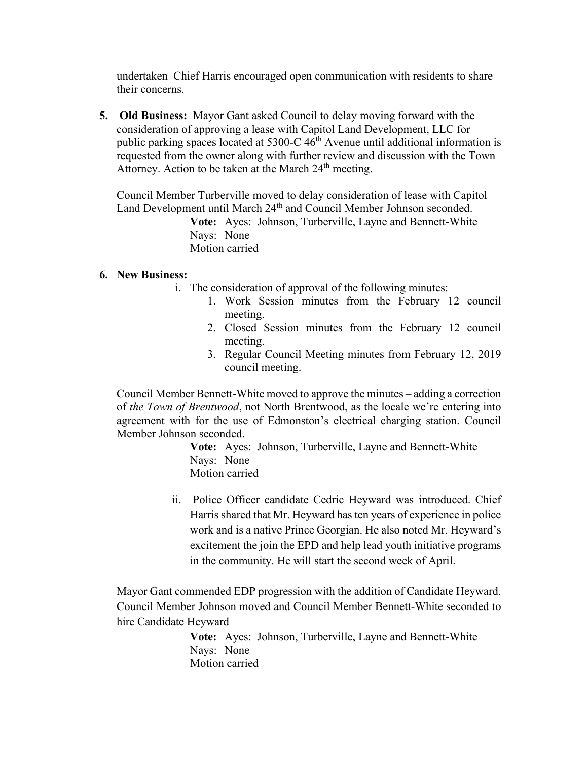undertaken Chief Harris encouraged open communication with residents to share their concerns.

**5. Old Business:** Mayor Gant asked Council to delay moving forward with the consideration of approving a lease with Capitol Land Development, LLC for public parking spaces located at  $5300$ -C  $46<sup>th</sup>$  Avenue until additional information is requested from the owner along with further review and discussion with the Town Attorney. Action to be taken at the March  $24<sup>th</sup>$  meeting.

Council Member Turberville moved to delay consideration of lease with Capitol Land Development until March 24<sup>th</sup> and Council Member Johnson seconded.

> **Vote:** Ayes: Johnson, Turberville, Layne and Bennett-White Nays: None Motion carried

### **6. New Business:**

- i. The consideration of approval of the following minutes:
	- 1. Work Session minutes from the February 12 council meeting.
	- 2. Closed Session minutes from the February 12 council meeting.
	- 3. Regular Council Meeting minutes from February 12, 2019 council meeting.

Council Member Bennett-White moved to approve the minutes – adding a correction of *the Town of Brentwood*, not North Brentwood, as the locale we're entering into agreement with for the use of Edmonston's electrical charging station. Council Member Johnson seconded.

> **Vote:** Ayes: Johnson, Turberville, Layne and Bennett-White Nays: None Motion carried

ii. Police Officer candidate Cedric Heyward was introduced. Chief Harris shared that Mr. Heyward has ten years of experience in police work and is a native Prince Georgian. He also noted Mr. Heyward's excitement the join the EPD and help lead youth initiative programs in the community. He will start the second week of April.

Mayor Gant commended EDP progression with the addition of Candidate Heyward. Council Member Johnson moved and Council Member Bennett-White seconded to hire Candidate Heyward

> **Vote:** Ayes: Johnson, Turberville, Layne and Bennett-White Nays: None Motion carried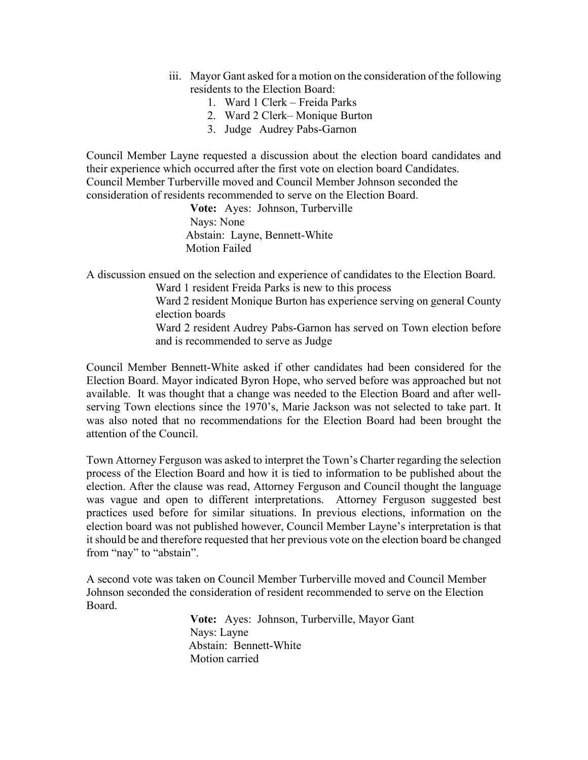- iii. Mayor Gant asked for a motion on the consideration of the following residents to the Election Board:
	- 1. Ward 1 Clerk Freida Parks
	- 2. Ward 2 Clerk– Monique Burton
	- 3. Judge Audrey Pabs-Garnon

Council Member Layne requested a discussion about the election board candidates and their experience which occurred after the first vote on election board Candidates. Council Member Turberville moved and Council Member Johnson seconded the consideration of residents recommended to serve on the Election Board.

> **Vote:** Ayes: Johnson, Turberville Nays: None Abstain: Layne, Bennett-White Motion Failed

A discussion ensued on the selection and experience of candidates to the Election Board. Ward 1 resident Freida Parks is new to this process

Ward 2 resident Monique Burton has experience serving on general County election boards

Ward 2 resident Audrey Pabs-Garnon has served on Town election before and is recommended to serve as Judge

Council Member Bennett-White asked if other candidates had been considered for the Election Board. Mayor indicated Byron Hope, who served before was approached but not available. It was thought that a change was needed to the Election Board and after wellserving Town elections since the 1970's, Marie Jackson was not selected to take part. It was also noted that no recommendations for the Election Board had been brought the attention of the Council.

Town Attorney Ferguson was asked to interpret the Town's Charter regarding the selection process of the Election Board and how it is tied to information to be published about the election. After the clause was read, Attorney Ferguson and Council thought the language was vague and open to different interpretations. Attorney Ferguson suggested best practices used before for similar situations. In previous elections, information on the election board was not published however, Council Member Layne's interpretation is that it should be and therefore requested that her previous vote on the election board be changed from "nay" to "abstain".

A second vote was taken on Council Member Turberville moved and Council Member Johnson seconded the consideration of resident recommended to serve on the Election Board.

> **Vote:** Ayes: Johnson, Turberville, Mayor Gant Nays: Layne Abstain: Bennett-White Motion carried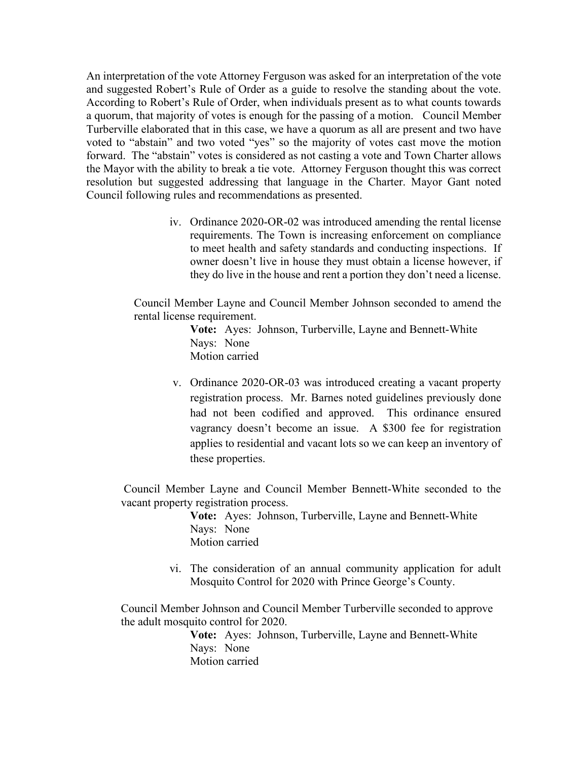An interpretation of the vote Attorney Ferguson was asked for an interpretation of the vote and suggested Robert's Rule of Order as a guide to resolve the standing about the vote. According to Robert's Rule of Order, when individuals present as to what counts towards a quorum, that majority of votes is enough for the passing of a motion. Council Member Turberville elaborated that in this case, we have a quorum as all are present and two have voted to "abstain" and two voted "yes" so the majority of votes cast move the motion forward. The "abstain" votes is considered as not casting a vote and Town Charter allows the Mayor with the ability to break a tie vote. Attorney Ferguson thought this was correct resolution but suggested addressing that language in the Charter. Mayor Gant noted Council following rules and recommendations as presented.

> iv. Ordinance 2020-OR-02 was introduced amending the rental license requirements. The Town is increasing enforcement on compliance to meet health and safety standards and conducting inspections. If owner doesn't live in house they must obtain a license however, if they do live in the house and rent a portion they don't need a license.

Council Member Layne and Council Member Johnson seconded to amend the rental license requirement.

> **Vote:** Ayes: Johnson, Turberville, Layne and Bennett-White Nays: None Motion carried

v. Ordinance 2020-OR-03 was introduced creating a vacant property registration process. Mr. Barnes noted guidelines previously done had not been codified and approved. This ordinance ensured vagrancy doesn't become an issue. A \$300 fee for registration applies to residential and vacant lots so we can keep an inventory of these properties.

Council Member Layne and Council Member Bennett-White seconded to the vacant property registration process.

> **Vote:** Ayes: Johnson, Turberville, Layne and Bennett-White Nays: None Motion carried

vi. The consideration of an annual community application for adult Mosquito Control for 2020 with Prince George's County.

Council Member Johnson and Council Member Turberville seconded to approve the adult mosquito control for 2020.

> **Vote:** Ayes: Johnson, Turberville, Layne and Bennett-White Nays: None Motion carried